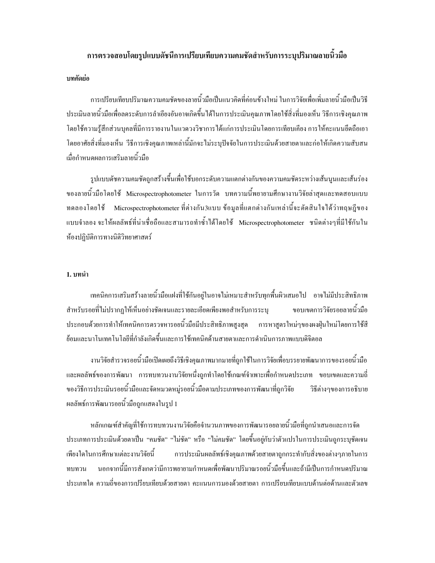## ิการตรวจสอบโดยรูปแบบดัชนีการเปรียบเทียบความคมชัดสำหรับการระบปริมาณลายนิ้วมือ

### บทคัดย่อ

ี การเปรียบเทียบปริมาณความคมชัดของลายนิ้วมือเป็นแนวคิดที่ค่อนข้างใหม่ ในการวิจัยเพื่อเพิ่มลายนิ้วมือเป็นวิธี ประเมินลายนิ้วมือเพื่อลคระดับการลำเอียงอันอาจเกิดขึ้นได้ในการประเมินคุณภาพโดยใช้สิ่งที่มองเห็น วิธีการเชิงคุณภาพ โดยใช้ความรู้สึกส่วนบุคลที่มีการรายงานในแวดวงวิชาการได้แก่การประเมินโดยการเทียบเกียง การให้คะแนนยึดถือเอา โดยอาศัยสิ่งที่มองเห็น วีธีการเชิงคณภาพเหล่านี้มักจะไม่ระบปัจจัยในการประเมินด้วยสายตาและก่อให้เกิดความสับสน เมื่อกำหนดผลการเสริมลายนิ้วมือ

รูปแบบคัชกวามกมชัคถูกสร้างขึ้นเพื่อใช้บอกระดับกวามแตกต่างกันของกวามกมชัดระหว่างเส้นนูนและเส้นร่อง ของลายนิ้วมือโคยใช้ Microspectrophotometer ในการวัด บทความนี้พยายามศึกษางานวิจัยล่าสุดและทดสอบแบบ ทดลองโดยใช้ Microspectrophotometer ที่ต่างกัน3แบบ ข้อมูลที่แตกต่างกันเหล่านี้จะตัดสินใจได้ว่าทฤษฎีของ แบบจำลอง จะให้ผลลัพธ์ที่น่าเชื่อถือและสามารถทำซ้ำได้โดยใช้ Microspectrophotometer ชนิดต่างๆที่มีใช้กันใน ห้องปฏิบัติการทางนิติวิทยาศาสตร์

#### 1. บทนำ

้ เทคนิคการเสริมสร้างลายนิ้วมือแฝงที่ใช้กันอยู่ในอาจไม่เหมาะสำหรับทุกพื้นผิวเสมอไป อาจไม่มีประสิทธิภาพ สำหรับรอยที่ไม่ปรากฏให้เห็นอย่างชัดเจนและรายละเอียดเพียงพอสำหรับการระบุ ขอบเขตการวิจัยรอยลายนิ้วมือ ประกอบด้วยการทำให้เทคนิคการตรวจหารอยนิ้วมือมีประสิทธิภาพสูงสุด การหาสูตรใหม่ๆของผงฝุ่นใหม่โดยการใช้สี ย้อมและนาโนเทคโนโลยีที่กำลังเกิดขึ้นและการใช้เทคนิคด้านสายตาและการดำเนินการภาพแบบดิจิตอล

งานวิจัยสำรวจรอยนิ้วมือเปิดเผยถึงวิธีเชิงคุณภาพมากมายที่ถูกใช้ในการวิจัยเพื่อบรรยายพัฒนาการของรอยนิ้วมือ และผลลัพธ์ของการพัฒนา การทบทวนงานวิจัยหนึ่งถูกทำโดยใช้เกณฑ์จำเพาะเพื่อกำหนดประเภท ขอบเขตและความถี่ ของวิธีการประเมินรอยนิ้วมือและจัดหมวดหมู่รอยนิ้วมือตามประเภทของการพัฒนาที่ถูกวิจัย วิธีต่างๆของการอธิบาย ผลลัพธ์การพัฒนารอยนิ้วมือถูกแสดงในรูป 1

หลักเกณฑ์สำคัญที่ใช้การทบทวนงานวิจัยคือจำนวนภาพของการพัฒนารอยลายนิ้วมือที่ถูกนำเสนอและการจัด ประเภทการประเมินด้วยตาเป็น "คมชัด" "ไม่ชัด" หรือ "ไม่คมชัด" โดยขึ้นอยู่กับว่าตัวแปรในการประเมินถูกระบุชัดเจน การประเมินผลลัพธ์เชิงคุณภาพด้วยสายตาถูกกระทำกับสิ่งของต่างๆภายในการ เพียงใดในการศึกษาแต่ละงานวิจัยนี้ นอกจากนี้มีการสังเกตว่ามีการพยายามกำหนดเพื่อพัฒนาปริมาณรอยนิ้วมือขึ้นและถ้ามีเป็นการกำหนดปริมาณ ทบทวน ประเภทใด ความถี่ของการเปรียบเทียบด้วยสายตา คะแนนการมองด้วยสายตา การเปรียบเทียบแบบด้านต่อด้านและตัวเลข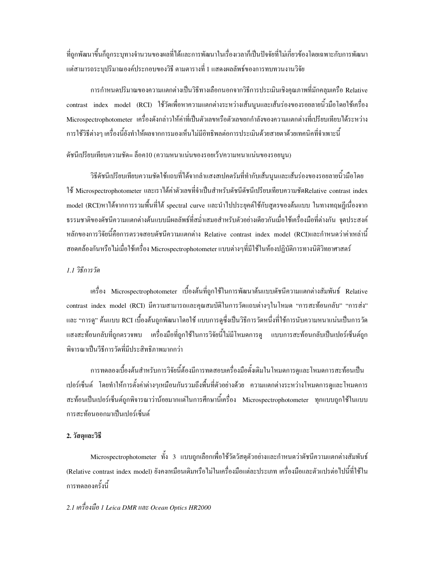ที่ถูกพัฒนาขึ้นก็ถูกระบุทางจำนวนของผลที่ได้และการพัฒนาในเรื่องเวลาก็เป็นปัจจัยที่ไม่เกี่ยวข้องโคยเฉพาะกับการพัฒนา แต่สามารถระบุปริมาณองค์ประกอบของวิธี ตามตารางที่ 1 แสดงผลลัพธ์ของการทบทวนงานวิจัย

การกำหนดปริมาณของความแตกต่างเป็นวิธีทางเลือกนอกจากวิธีการประเมินเชิงคุณภาพที่มักคลุมเครือ Relative contrast index model (RCI) ใช้วัดเพื่อหาความแตกต่างระหว่างเส้นนูนและเส้นร่องของรอยลายนิ้วมือโดยใช้เครื่อง Microspectrophotometer เครื่องดังกล่าวให้ค่าที่เป็นตัวเลขหรือตัวเลขยกกำลังของความแตกต่างที่เปรียบเทียบได้ระหว่าง การใช้วิธีต่างๆ เครื่องนี้ยังทำให้ผลจากการมองเห็นไม่มีอิทธิพลต่อการประเมินด้วยสายตาด้วยเทคนิคที่จำเพาะนี้

## ดัชนีเปรียบเทียบความชัด= ลื่อค10 (ความหนาแน่นของรอยเว้า/ความหนาแน่นของรอยนูน)

วิธีดัชนีเปรียบเทียบความชัดใช้แถบที่ได้จากลำแสงสเปคตรัมที่ทำกับเส้นนูนและเส้นร่องของรอยลายนิ้วมือโดย ใช้ Microspectrophotometer และเราได้ค่าตัวเลขที่จำเป็นสำหรับดัชนีดัชนีเปรียบเทียบความซัดRelative contrast index model (RCI)หาได้จากการรวมพื้นที่ได้ spectral curve และนำไปประยุคต์ใช้กับสูตรของต้นแบบ ในทางทฤษฎีเนื่องจาก ธรรมชาติของคัชนีกวามแตกต่างด้นแบบมีผลลัพธ์ที่สม่ำเสมอสำหรับตัวอย่างเดียวกันเมื่อใช้เครื่องมือที่ต่างกัน จุดประสงค์ หลักของการวิจัยนี้กือการตรวจสอบดัชนีกวามแตกต่าง Relative contrast index model (RCI)และกำหนดว่าก่าเหล่านี้ สอดกล้องกันหรือไม่เมื่อใช้เครื่อง Microspectrophotometer แบบต่างๆที่มีใช้ในห้องปฏิบัติการทางนิติวิทยาศาสตร์ ่

## *1.1 วิ*ธีการวัด

เครื่อง Microspectrophotometer เบื้องต้นที่ถูกใช้ในการพัฒนาต้นแบบดัชนีกวามแตกต่างสัมพันธ์ Relative contrast index model (RCI) มีความสามารถและคุณสมบัดิในการวัดแถบต่างๆในโหมด "การสะท้อนกลับ" "การส่ง" และ "การดู" ต้นแบบ RCI เบื้องต้นถูกพัฒนาโดยใช้ แบบการดูซึ่งเป็นวิธีการวัดหนึ่งที่ใช้การนับความหนาแน่นเป็นการวัด แสงสะท้อนกลับที่ถูกตรวจพบ เครื่องมือที่ถูกใช้ในการวิจัยนี้ไม่มีโหมดการดู แบบการสะท้อนกลับเป็นเปอร์เซ็นต์ถูก พิจารณาเป็นวีธีการวัดที่มีประสิทธิภาพมากกว่า

การทดลองเบื้องต้นสำหรับการวิจัยนี้ต้องมีการทดสอบเครื่องมือดั้งเดิมในโหมดการดูและโหมดการสะท้อนเป็น เปอร์เซ็นต์ โดยทำให้การตั้งค่าต่างๆเหมือนกันรวมถึงพื้นที่ตัวอย่างด้วย ความแตกต่างระหว่างโหมดการดูและโหมดการ สะท้อนเป็นเปอร์เซ็นต์ถูกพิจารณาว่าน้อยมากแต่ในการศึกษานี้เครื่อง Microspectrophotometer ทุกแบบถูกใช้ในแบบ การสะท้อนออกมาเป็นเปอร์เซ็นต์

#### 2. วัสดุและวิ**ธ**ี

Microspectrophotometer ทั้ง 3 แบบถูกเลือกเพื่อใช้วัควัสดุตัวอย่างและกำหนดว่าดัชนีความแตกต่างสัมพันธ์ (Relative contrast index model) ยังคงเหมือนเคิมหรือไม่ในเครื่องมือแต่ละประเภท เครื่องมือและตัวแปรต่อไปนี้ที่ใช้ใน การทดลองครั้งนี้

## 2.1 เครื่องมือ 1 Leica DMR และ Ocean Optics HR2000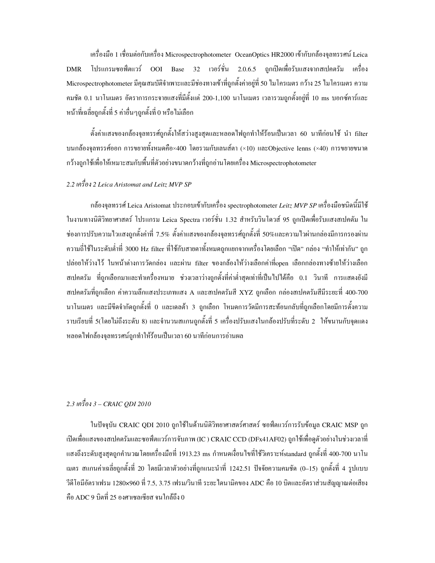เครื่องมือ 1 เชื่อมต่อกับเครื่อง Microspectrophotometer OceanOptics HR2000 เข้ากับกล้องจุลทรรศน์ Leica โปรแกรมซอฟ์ตแวร์ OOI Base 32 เวอร์ชั่น 2.0.6.5 ถูกเปิดเพื่อรับแสงจากสเปคตรัม เครื่อง **DMR** Microspectrophotometer มีคุณสมบัติจำเพาะและมีช่องทางเข้าที่ถูกตั้งค่าอยู่ที่ 50 ใมโครเมตร กว้าง 25 ใมโครเมตร ความ ึ คมชัด 0.1 นาโนเมตร อัตราการกระจายแสงที่มีตั้งแต่ 200-1,100 นาโนเมตร เวลารวมถกตั้งอย่ที่ 10 ms บอกซ์คาร์และ หน้าที่เฉลี่ยถูกตั้งที่ 5 ค่าอื่นๆถูกตั้งที่ 0 หรือไม่เลือก

่ ตั้งค่าแสงของกล้องจุลทรรศ์ถูกตั้งให้สว่างสูงสุดและหลอดไฟถูกทำให้ร้อนเป็นเวลา 60 นาทีก่อนใช้ นำ filter บนกล้องจุลทรรศ์ออก การขยายทั้งหมดกือ×400 โดยรวมกับเลนส์ตา (×10) และObjective lenns (×40) การขยายขนาด กว้างถูกใช้เพื่อให้เหมาะสมกับพื้นที่ตัวอย่างขนาดกว้างที่ถูกอ่านโดยเครื่อง Microspectrophotometer

# 2.2 เครื่อง 2 Leica Aristomat and Leitz MVP SP

ึกล้องจลทรรศ์ Leica Aristomat ประกอบเข้ากับเครื่อง spectrophotometer Leitz MVP SP เครื่องมือชนิดนี้มีใช้ ในงานทางนิติวิทยาศาสตร์ โปรแกรม Leica Spectra เวอร์ชั่น 1.32 สำหรับวินโดวส์ 95 ถูกเปิดเพื่อรับแสงสเปคตัม ใน ช่องการปรับความไวแสงถูกตั้งค่าที่ 7.5% ตั้งค่าแสงของกล้องจุลทรรศ์ถูกตั้งที่ 50%และความไวผ่านกล่องมีการกรองผ่าน ี ความถี่ใช้ในระดับต่ำที่ 3000 Hz filter ที่ใช้กับสายตาทั้งหมดถูกแยกจากเครื่องโดยเลือก "เปิด" กล่อง "ทำให้เท่ากัน" ถูก ปล่อยให้ว่างไว้ ในหน้าต่างการวัดกล่อง และผ่าน filter ของกล้องให้ว่างเลือกค่าที่open เลือกกล่องทางซ้ายให้ว่างเลือก ี่ สเปคตรัม ที่ถูกเลือกมาและทำเครื่องหมาย ช่วงเวลาว่างถูกตั้งที่ค่าต่ำสุดเท่าที่เป็นไปได้คือ 0.1 วินาที การแสดงยังมี สเปคตรัมที่ถูกเลือก ค่าความลึกแสงประเภทแสง A และสเปคตรัมสี XYZ ถูกเลือก กล่องสเปคตรัมสีมีระยะที่ 400-700 นาโนเมตร และมีขีดจำกัดถูกตั้งที่ 0 และเดลต้า 3 ถูกเลือก โหมดการวัดมีการสะท้อนกลับที่ถูกเลือกโดยมีการตั้งความ ราบเรียบที่ 5(โดยไม่ถึงระดับ 8) และจำนวนสแกนถูกตั้งที่ 5 เครื่องปรับแสงในกล้องปรับที่ระดับ 2 ให้ขนานกับจุดแดง หลอดไฟกล้องจุลทรรศน์ถูกทำให้ร้อนเป็นเวลา 60 นาทีก่อนการอ่านผล

# 2.3 เครื่อง 3 – CRAIC ODI 2010

ในปัจจบัน CRAIC ODI 2010 ถกใช้ในด้านนิติวิทยาศาสตร์ศาสตร์ ซอฟ์ตแวร์การรับข้อมล CRAIC MSP ถก เปิดเพื่อแสงของสเปคตรัมและซอฟ์ตแวร์การจับภาพ (IC ) CRAIC CCD (DFx41AF02) ถกใช้เพื่อคตัวอย่างในช่วงเวลาที่ แสงถึงระดับสูงสุดถูกคำนวณโดยเครื่องมือที่ 1913.23 ms กำหนดเงื่อนไขที่ใช้วิเคราะห์standard ถูกตั้งที่ 400-700 นาโน เมตร สแกนค่าเฉลี่ยถูกตั้งที่ 20 โดยมีเวลาตัวอย่างที่ถูกแนะนำที่ 1242.51 ปัจจัยความคมชัด (0–15) ถูกตั้งที่ 4 รูปแบบ วีดีโอมีอัตราเฟรม 1280×960 ที่ 7.5, 3.75 เฟรม/วินาที ระยะ"โคนามิคของ ADC คือ 10 บิตและอัตราส่วนสัญญาณต่อเสียง คือ ADC 9 บิตที่ 25 องศาเซลเซียส จนใกล้ถึง 0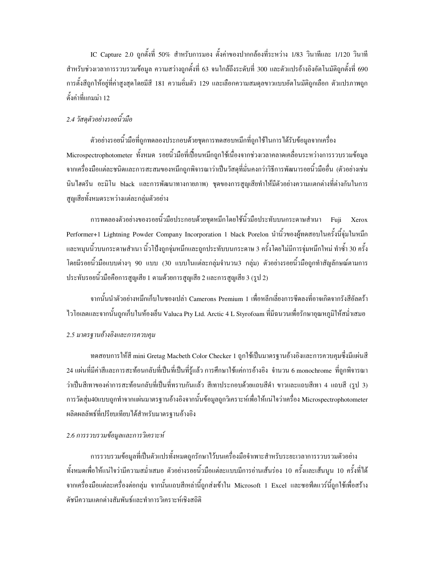IC Capture 2.0 ถูกตั้งที่ 50% สำหรับการมอง ตั้งค่าของปากกล้องที่ระหว่าง 1/83 วินาทีและ 1/120 วินาที ี่สำหรับช่วงเวลาการรวบรวมข้อมูล ความสว่างถูกตั้งที่ 63 จนใกล้ถึงระดับที่ 300 และตัวแปรอ้างอิงอัตโนมัติถูกตั้งที่ 690 ึการตั้งสีถูกให้อยู่ที่ค่าสูงสุดโดยมีสี 181 ความอิ่มตัว 129 และเลือกความสมดุลขาวแบบอัตโนมัติถูกเลือก ตัวแปรภาพถูก ตั้งค่าที่แกมม่า 12

# 2.4 วัสคตัวอย่างรอยนิ้วมือ

้ตัวอย่างรอยนิ้วมือที่ถูกทดลองประกอบด้วยชุดการทดสอบหมึกที่ถูกใช้ในการได้รับข้อมูลจากเครื่อง Microspectrophotometer ทั้งหมด รอยนิ้วมือที่เปื้อนหมึกถูกใช้เนื่องจากช่วงเวลาคลาดเคลื่อนระหว่างการรวบรวมข้อมูล จากเครื่องมือแต่ละชนิดและการสะสมของหมึกถูกพิจารณาว่าเป็นวัสดุที่มั่นคงกว่าวิธีการพัฒนารอยนิ้วมืออื่น (ตัวอย่างเช่น นินใฮครีน อะมิโน black และการพัฒนาทางกายภาพ) ชุดของการสูญเสียทำให้มีตัวอย่างความแตกต่างที่ต่างกันในการ สูญเสียทั้งหมดระหว่างแต่ละกลุ่มตัวอย่าง

ิ การทดลองตัวอย่างของรอยนิ้วมือประกอบด้วยชุดหมึกโดยใช้นิ้วมือประทับบนกระดาษสำเนา Fuji Xerox Performer+1 Lightning Powder Company Incorporation 1 black Porelon นำนิ้วของผู้ทดสอบในครั้งนี้จุ่มในหมึก และหมุนนิ้วบนกระดาษสำเนา นิ้วโป้งถูกจุ่มหมึกและถูกประทับบนกระดาษ 3 ครั้งโดยไม่มีการจุ่มหมึกใหม่ ทำซ้ำ 30 ครั้ง โดยมีรอยนิ้วมือแบบต่างๆ 90 แบบ (30 แบบในแต่ละกล่มจำนวน3 กล่ม) ตัวอย่างรอยนิ้วมือถกทำสัญลักษณ์ตามการ ประทับรอยนิ้วมือคือการสูญเสีย 1 ตามด้วยการสูญเสีย 2 และการสูญเสีย 3 (รูป 2)

ิ จากนั้นนำตัวอย่างหมึกเก็บในซองเปล่า Camerons Premium 1 เพื่อหลีกเลี่ยงการซีดลงที่อาจเกิดจากรังสีอัลตร้า ไวโอเลตและจากนั้นถูกเก็บในห้องเย็น Valuca Pty Ltd. Arctic 4 L Styrofoam ที่มีฉนวนเพื่อรักษาอุณหภูมิให้สม่ำเสมอ

### 2.5 มาตรฐานอ้างอิงและการควบคุม

ทดสอบการให้สี mini Gretag Macbeth Color Checker 1 ถูกใช้เป็นมาตรฐานอ้างอิงและการควบคุมซึ่งมีแผ่นสี 24 แผ่นที่มีค่าสีและการสะท้อนกลับที่เป็นที่เป็นที่รั้แล้ว การศึกษาใช้แค่การอ้างอิง จำนวน 6 monochrome ที่ถกพิจารณา ว่าเป็นสีเทาของค่าการสะท้อนกลับที่เป็นที่ทราบกันแล้ว สีเทาประกอบด้วยแถบสีดำ ขาวและแถบสีเทา 4 แถบสี (รูป 3) การวัดสุ่ม40แบบถูกทำจากแผ่นมาตรฐานอ้างอิงจากนั้นข้อมูลถูกวิเคราะห์เพื่อให้แน่ใจว่าเครื่อง Microspectrophotometer ผลิตผลลัพธ์ที่เปรียบเทียบได้สำหรับมาตรฐานอ้างอิง

## 2.6 การรวบรวมข้อมูลและการวิเคราะห์

ึการรวบรวมข้อมลที่เป็นตัวแปรทั้งหมดถกรักษาไว้บนเครื่องมือจำเพาะสำหรับระยะเวลาการรวบรวมตัวอย่าง ทั้งหมดเพื่อให้แน่ใจว่ามีความสม่ำเสมอ ตัวอย่างรอยนิ้วมือแต่ละแบบมีการอ่านเส้นร่อง 10 ครั้งและเส้นนูน 10 ครั้งที่ได้ จากเครื่องมือแต่ละเครื่องต่อกลุ่ม จากนั้นแถบสีเหล่านี้ถูกส่งเข้าใน Microsoft 1 Excel และซอฟ์ตแวร์นี้ถูกใช้เพื่อสร้าง ดัชนีความแตกต่างสัมพันธ์และทำการวิเคราะห์เชิงสถิติ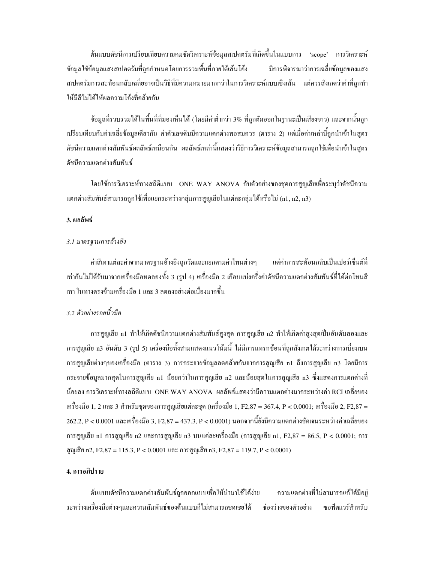ู้ต้นแบบดัชนีการเปรียบเทียบความคมชัดวิเคราะห์ข้อมูลสเปคตรัมที่เกิดขึ้นในแบบการ 'scope' การวิเคราะห์ ข้อมูลใช้ข้อมูลแสงสเปคตรัมที่ถูกกำหนดโดยการรวมพื้นที่ภายใต้เส้นโค้ง มีการพิจารณาว่าการเฉลี่ยข้อมูลของแสง ี่ สเปคตรัมการสะท้อนกลับเฉลี่ยอาจเป็นวิธีที่มีความหมายมากกว่าในการวิเคราะห์แบบเชิงเส้น แต่ควรสังเกตว่าค่าที่ถูกทำ ให้มีสีไม่ได้ให้ผลความโค้งที่คล้ายกัน

้ ข้อมูลที่รวบรวมได้ในพื้นที่ที่มองเห็นได้ (โดยมีค่าต่ำกว่า 3% ที่ถูกตัดออกในฐานะเป็นเสียงขาว) และจากนั้นถูก เปรียบเทียบกับค่าเฉลี่ยข้อมูลเดียวกัน ค่าตัวเลขดิบมีความแตกต่างพอสมควร (ตาราง 2) แต่เมื่อค่าเหล่านี้ถูกนำเข้าในสูตร ดัชนีความแตกต่างสัมพันธ์ผลลัพธ์เหมือนกัน ผลลัพธ์เหล่านี้แสดงว่าวิธีการวิเคราะห์ข้อมูลสามารถถูกใช้เพื่อนำเข้าในสูตร ดัชนีความแตกต่างสัมพันธ์

โดยใช้การวิเคราะห์ทางสถิติแบบ ONE WAY ANOVA กับตัวอย่างของชุดการสูญเสียเพื่อระบุว่าดัชนีความ แตกต่างสัมพันธ์สามารถถูกใช้เพื่อแยกระหว่างกลุ่มการสูญเสียในแต่ละกลุ่มได้หรือไม่ (n1, n2, n3)

## 3. ผลลัพธ์

#### 3.1 มาตรฐานการอ้างอิง

ค่าสีเทาแต่ละค่าจากมาตรฐานอ้างอิงถูกวัดและแยกตามค่าโทนต่างๆ แต่ค่าการสะท้อนกลับเป็นเปอร์เซ็นต์ที่ เท่ากันไม่ได้รับมาจากเครื่องมือทดลองทั้ง 3 (รูป 4) เครื่องมือ 2 เกือบแบ่งครึ่งค่าดัชนีความแตกต่างสัมพันธ์ที่ได้ต่อโทนสี ้เทา ในทางตรงข้ามเครื่องมือ 1 และ 3 ลดลงอย่างต่อเนื่องมากขึ้น

## 3.2 ตัวอย่างรอยนิ้วมือ

ึ การสูญเสีย n1 ทำให้เกิดดัชนีความแตกต่างสัมพันธ์สูงสุด การสูญเสีย n2 ทำให้เกิดค่าสูงสุดเป็นอันดับสองและ ึการสูญเสีย n3 อันดับ 3 (รูป 5) เครื่องมือทั้งสามแสดงแนวโน้มนี้ ไม่มีการแทรกซ้อนที่ถูกสังเกตได้ระหว่างการเบี่ยงเบน การสูญเสียต่างๆของเครื่องมือ (ตาราง 3) การกระจายข้อมูลลดคล้ายกันจากการสูญเสีย n1 ถึงการสูญเสีย n3 โดยมีการ กระจายข้อมูลมากสุดในการสูญเสีย n1 น้อยกว่าในการสูญเสีย n2 และน้อยสุดในการสูญเสีย n3 ซึ่งแสดงการแตกต่างที่ น้อยลง การวิเคราะห์ทางสถิติแบบ ONE WAY ANOVA ผลลัพธ์แสดงว่ามีความแตกต่างมากระหว่างค่า RCI เฉลี่ยของ เครื่องมือ 1, 2 และ 3 สำหรับชุดของการสูญเสียแต่ละชุด (เครื่องมือ 1, F2,87 = 367.4, P < 0.0001; เครื่องมือ 2, F2,87 =  $262.2,$  P < 0.0001 และเครื่องมือ 3, F2,87 = 437.3, P < 0.0001) นอกจากนี้ยังมีความแตกต่างชัดเจนระหว่างค่าเฉลี่ยของ การสูญเสีย n1 การสูญเสีย n2 และการสูญเสีย n3 บนแต่ละเครื่องมือ (การสูญเสีย n1, F2,87 = 86.5, P < 0.0001; การ สูญเสีย n2, F2,87 = 115.3, P < 0.0001 และ การสูญเสีย n3, F2,87 = 119.7, P < 0.0001)

### 4. การอภิปราย

ด้นแบบดัชนีความแตกต่างสัมพันธ์ถูกออกแบบเพื่อให้นำมาใช้ได้ง่าย ้ ความแตกต่างที่ไม่สามารถแก้ได้มีอยู่ ระหว่างเครื่องมือต่างๆและความสัมพันธ์ของต้นแบบก็ไม่สามารถชดเชยได้ ช่องว่างของตัวอย่าง หอฟ์ตแวร์สำหรับ